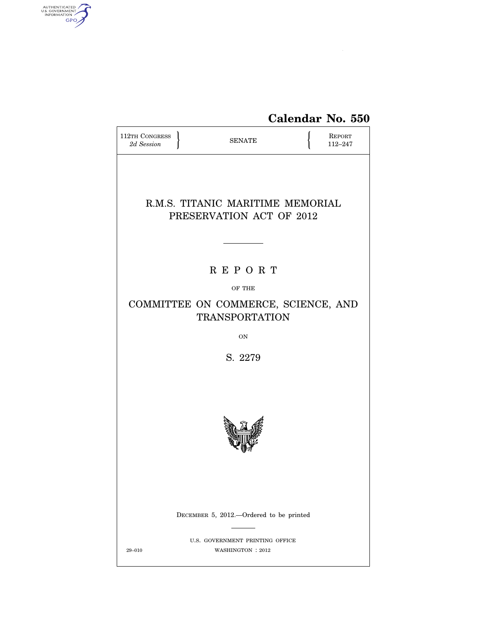

| 112TH CONGRESS<br>2d Session                                       |  | <b>SENATE</b> |  | REPORT<br>112-247 |
|--------------------------------------------------------------------|--|---------------|--|-------------------|
| R.M.S. TITANIC MARITIME MEMORIAL<br>PRESERVATION ACT OF 2012       |  |               |  |                   |
| <b>REPORT</b>                                                      |  |               |  |                   |
| OF THE                                                             |  |               |  |                   |
| COMMITTEE ON COMMERCE, SCIENCE, AND<br><b>TRANSPORTATION</b>       |  |               |  |                   |
|                                                                    |  | <b>ON</b>     |  |                   |
| S. 2279                                                            |  |               |  |                   |
|                                                                    |  |               |  |                   |
| DECEMBER 5, 2012.—Ordered to be printed                            |  |               |  |                   |
| U.S. GOVERNMENT PRINTING OFFICE<br>$29 - 010$<br>WASHINGTON : 2012 |  |               |  |                   |

AUTHENTICATED

 $\widehat{\mathbf{f}}$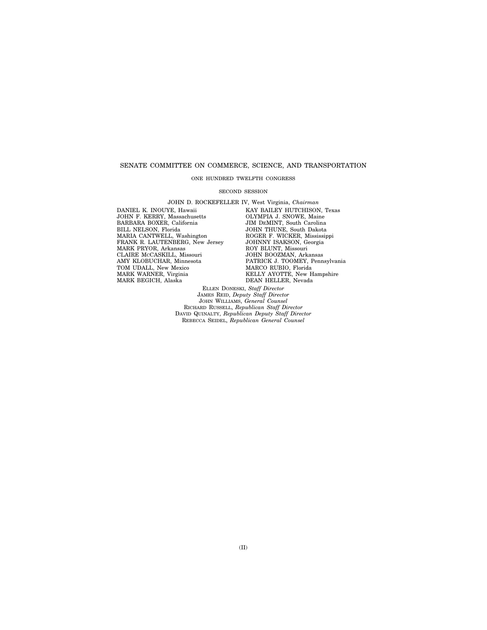# SENATE COMMITTEE ON COMMERCE, SCIENCE, AND TRANSPORTATION

# ONE HUNDRED TWELFTH CONGRESS

#### SECOND SESSION

JOHN D. ROCKEFELLER IV, West Virginia, *Chairman*  DANIEL K. INOUYE, Hawaii JOHN F. KERRY, Massachusetts BARBARA BOXER, California BILL NELSON, Florida MARIA CANTWELL, Washington FRANK R. LAUTENBERG, New Jersey MARK PRYOR, Arkansas CLAIRE MCCASKILL, Missouri AMY KLOBUCHAR, Minnesota TOM UDALL, New Mexico MARK WARNER, Virginia MARK BEGICH, Alaska

KAY BAILEY HUTCHISON, Texas OLYMPIA J. SNOWE, Maine JIM DEMINT, South Carolina JOHN THUNE, South Dakota ROGER F. WICKER, Mississippi JOHNNY ISAKSON, Georgia ROY BLUNT, Missouri JOHN BOOZMAN, Arkansas PATRICK J. TOOMEY, Pennsylvania MARCO RUBIO, Florida KELLY AYOTTE, New Hampshire DEAN HELLER, Nevada

ELLEN DONESKI, *Staff Director*  JAMES REID, *Deputy Staff Director*  JOHN WILLIAMS, *General Counsel*  RICHARD RUSSELL, *Republican Staff Director*  DAVID QUINALTY, *Republican Deputy Staff Director*  REBECCA SEIDEL, *Republican General Counsel*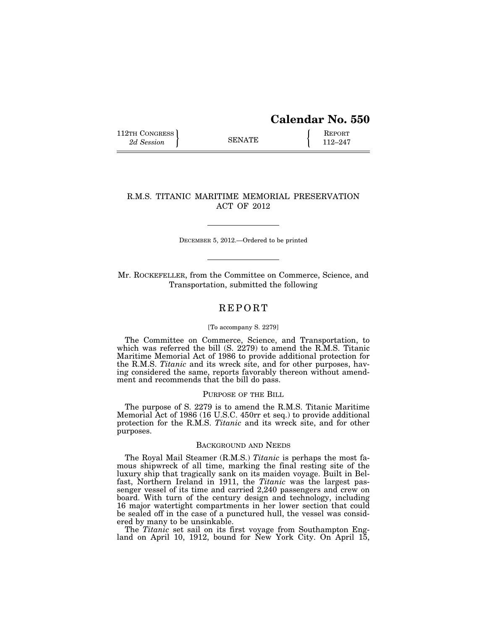# **Calendar No. 550**

112TH CONGRESS **REPORT** 2d Session **112–247** 

# R.M.S. TITANIC MARITIME MEMORIAL PRESERVATION ACT OF 2012

DECEMBER 5, 2012.—Ordered to be printed

Mr. ROCKEFELLER, from the Committee on Commerce, Science, and Transportation, submitted the following

# **REPORT**

### [To accompany S. 2279]

The Committee on Commerce, Science, and Transportation, to which was referred the bill (S. 2279) to amend the R.M.S. Titanic Maritime Memorial Act of 1986 to provide additional protection for the R.M.S. *Titanic* and its wreck site, and for other purposes, having considered the same, reports favorably thereon without amendment and recommends that the bill do pass.

# PURPOSE OF THE BILL

The purpose of S. 2279 is to amend the R.M.S. Titanic Maritime Memorial Act of 1986 (16 U.S.C. 450rr et seq.) to provide additional protection for the R.M.S. *Titanic* and its wreck site, and for other purposes.

### BACKGROUND AND NEEDS

The Royal Mail Steamer (R.M.S.) *Titanic* is perhaps the most famous shipwreck of all time, marking the final resting site of the luxury ship that tragically sank on its maiden voyage. Built in Belfast, Northern Ireland in 1911, the *Titanic* was the largest passenger vessel of its time and carried 2,240 passengers and crew on board. With turn of the century design and technology, including 16 major watertight compartments in her lower section that could be sealed off in the case of a punctured hull, the vessel was considered by many to be unsinkable.

The *Titanic* set sail on its first voyage from Southampton England on April 10, 1912, bound for New York City. On April 15,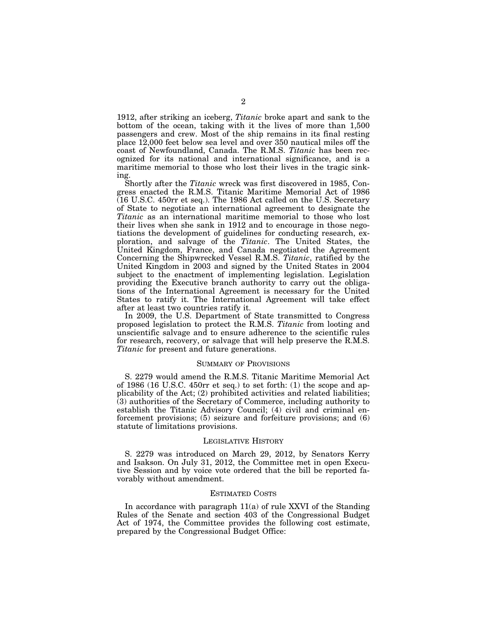1912, after striking an iceberg, *Titanic* broke apart and sank to the bottom of the ocean, taking with it the lives of more than 1,500 passengers and crew. Most of the ship remains in its final resting place 12,000 feet below sea level and over 350 nautical miles off the coast of Newfoundland, Canada. The R.M.S. *Titanic* has been recognized for its national and international significance, and is a maritime memorial to those who lost their lives in the tragic sinking.

Shortly after the *Titanic* wreck was first discovered in 1985, Congress enacted the R.M.S. Titanic Maritime Memorial Act of 1986  $(16$  U.S.C. 450rr et seq.). The 1986 Act called on the U.S. Secretary of State to negotiate an international agreement to designate the *Titanic* as an international maritime memorial to those who lost their lives when she sank in 1912 and to encourage in those negotiations the development of guidelines for conducting research, exploration, and salvage of the *Titanic*. The United States, the United Kingdom, France, and Canada negotiated the Agreement Concerning the Shipwrecked Vessel R.M.S. *Titanic*, ratified by the United Kingdom in 2003 and signed by the United States in 2004 subject to the enactment of implementing legislation. Legislation providing the Executive branch authority to carry out the obligations of the International Agreement is necessary for the United States to ratify it. The International Agreement will take effect after at least two countries ratify it.

In 2009, the U.S. Department of State transmitted to Congress proposed legislation to protect the R.M.S. *Titanic* from looting and unscientific salvage and to ensure adherence to the scientific rules for research, recovery, or salvage that will help preserve the R.M.S. *Titanic* for present and future generations.

### SUMMARY OF PROVISIONS

S. 2279 would amend the R.M.S. Titanic Maritime Memorial Act of 1986 (16 U.S.C. 450rr et seq.) to set forth: (1) the scope and applicability of the Act; (2) prohibited activities and related liabilities;  $(3)$  authorities of the Secretary of Commerce, including authority to establish the Titanic Advisory Council; (4) civil and criminal enforcement provisions; (5) seizure and forfeiture provisions; and (6) statute of limitations provisions.

### LEGISLATIVE HISTORY

S. 2279 was introduced on March 29, 2012, by Senators Kerry and Isakson. On July 31, 2012, the Committee met in open Executive Session and by voice vote ordered that the bill be reported favorably without amendment.

### ESTIMATED COSTS

In accordance with paragraph 11(a) of rule XXVI of the Standing Rules of the Senate and section 403 of the Congressional Budget Act of 1974, the Committee provides the following cost estimate, prepared by the Congressional Budget Office: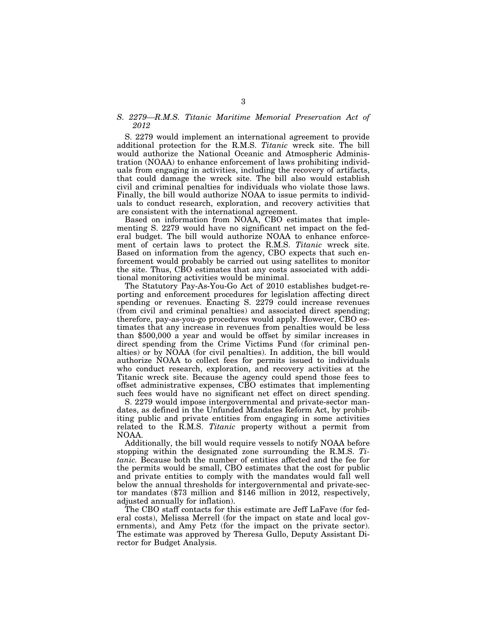# *S. 2279—R.M.S. Titanic Maritime Memorial Preservation Act of 2012*

S. 2279 would implement an international agreement to provide additional protection for the R.M.S. *Titanic* wreck site. The bill would authorize the National Oceanic and Atmospheric Administration (NOAA) to enhance enforcement of laws prohibiting individuals from engaging in activities, including the recovery of artifacts, that could damage the wreck site. The bill also would establish civil and criminal penalties for individuals who violate those laws. Finally, the bill would authorize NOAA to issue permits to individuals to conduct research, exploration, and recovery activities that are consistent with the international agreement.

Based on information from NOAA, CBO estimates that implementing S. 2279 would have no significant net impact on the federal budget. The bill would authorize NOAA to enhance enforcement of certain laws to protect the R.M.S. *Titanic* wreck site. Based on information from the agency, CBO expects that such enforcement would probably be carried out using satellites to monitor the site. Thus, CBO estimates that any costs associated with additional monitoring activities would be minimal.

The Statutory Pay-As-You-Go Act of 2010 establishes budget-reporting and enforcement procedures for legislation affecting direct spending or revenues. Enacting S. 2279 could increase revenues (from civil and criminal penalties) and associated direct spending; therefore, pay-as-you-go procedures would apply. However, CBO estimates that any increase in revenues from penalties would be less than \$500,000 a year and would be offset by similar increases in direct spending from the Crime Victims Fund (for criminal penalties) or by NOAA (for civil penalties). In addition, the bill would authorize NOAA to collect fees for permits issued to individuals who conduct research, exploration, and recovery activities at the Titanic wreck site. Because the agency could spend those fees to offset administrative expenses, CBO estimates that implementing such fees would have no significant net effect on direct spending.

S. 2279 would impose intergovernmental and private-sector mandates, as defined in the Unfunded Mandates Reform Act, by prohibiting public and private entities from engaging in some activities related to the R.M.S. *Titanic* property without a permit from NOAA.

Additionally, the bill would require vessels to notify NOAA before stopping within the designated zone surrounding the R.M.S. *Titanic.* Because both the number of entities affected and the fee for the permits would be small, CBO estimates that the cost for public and private entities to comply with the mandates would fall well below the annual thresholds for intergovernmental and private-sector mandates (\$73 million and \$146 million in 2012, respectively, adjusted annually for inflation).

The CBO staff contacts for this estimate are Jeff LaFave (for federal costs), Melissa Merrell (for the impact on state and local governments), and Amy Petz (for the impact on the private sector). The estimate was approved by Theresa Gullo, Deputy Assistant Director for Budget Analysis.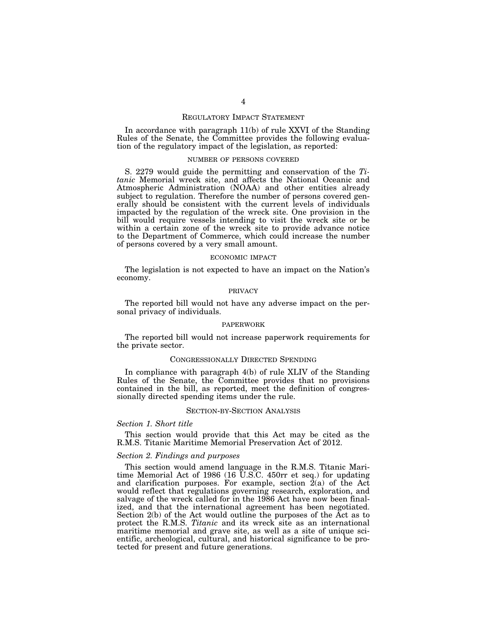## REGULATORY IMPACT STATEMENT

In accordance with paragraph 11(b) of rule XXVI of the Standing Rules of the Senate, the Committee provides the following evaluation of the regulatory impact of the legislation, as reported:

#### NUMBER OF PERSONS COVERED

S. 2279 would guide the permitting and conservation of the *Titanic* Memorial wreck site, and affects the National Oceanic and Atmospheric Administration (NOAA) and other entities already subject to regulation. Therefore the number of persons covered generally should be consistent with the current levels of individuals impacted by the regulation of the wreck site. One provision in the bill would require vessels intending to visit the wreck site or be within a certain zone of the wreck site to provide advance notice to the Department of Commerce, which could increase the number of persons covered by a very small amount.

### ECONOMIC IMPACT

The legislation is not expected to have an impact on the Nation's economy.

### PRIVACY

The reported bill would not have any adverse impact on the personal privacy of individuals.

# PAPERWORK

The reported bill would not increase paperwork requirements for the private sector.

# CONGRESSIONALLY DIRECTED SPENDING

In compliance with paragraph 4(b) of rule XLIV of the Standing Rules of the Senate, the Committee provides that no provisions contained in the bill, as reported, meet the definition of congressionally directed spending items under the rule.

### SECTION-BY-SECTION ANALYSIS

### *Section 1. Short title*

This section would provide that this Act may be cited as the R.M.S. Titanic Maritime Memorial Preservation Act of 2012.

# *Section 2. Findings and purposes*

This section would amend language in the R.M.S. Titanic Maritime Memorial Act of 1986 (16 U.S.C. 450rr et seq.) for updating and clarification purposes. For example, section 2(a) of the Act would reflect that regulations governing research, exploration, and salvage of the wreck called for in the 1986 Act have now been finalized, and that the international agreement has been negotiated. Section 2(b) of the Act would outline the purposes of the Act as to protect the R.M.S. *Titanic* and its wreck site as an international maritime memorial and grave site, as well as a site of unique scientific, archeological, cultural, and historical significance to be protected for present and future generations.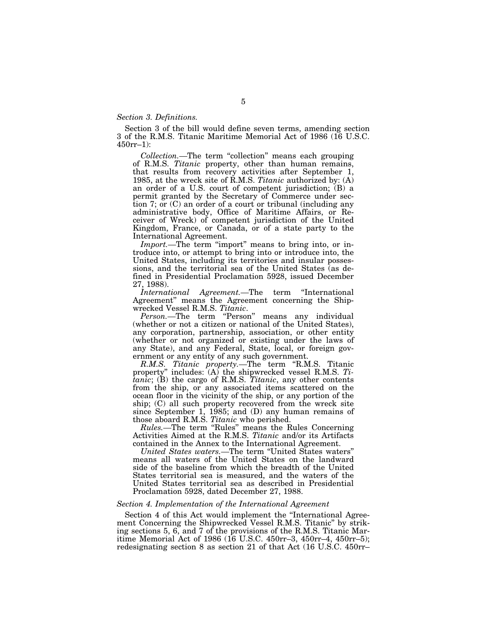# *Section 3. Definitions.*

Section 3 of the bill would define seven terms, amending section 3 of the R.M.S. Titanic Maritime Memorial Act of 1986 (16 U.S.C. 450rr–1):

*Collection.—*The term ''collection'' means each grouping of R.M.S. *Titanic* property, other than human remains, that results from recovery activities after September 1, 1985, at the wreck site of R.M.S. *Titanic* authorized by: (A) an order of a U.S. court of competent jurisdiction; (B) a permit granted by the Secretary of Commerce under section 7; or (C) an order of a court or tribunal (including any administrative body, Office of Maritime Affairs, or Receiver of Wreck) of competent jurisdiction of the United Kingdom, France, or Canada, or of a state party to the International Agreement.

*Import.*—The term "import" means to bring into, or introduce into, or attempt to bring into or introduce into, the United States, including its territories and insular possessions, and the territorial sea of the United States (as defined in Presidential Proclamation 5928, issued December 27, 1988).

*International Agreement.—*The term ''International Agreement'' means the Agreement concerning the Shipwrecked Vessel R.M.S. *Titanic*.

Person.—The term "Person" means any individual (whether or not a citizen or national of the United States), any corporation, partnership, association, or other entity (whether or not organized or existing under the laws of any State), and any Federal, State, local, or foreign government or any entity of any such government.

*R.M.S. Titanic property.—*The term ''R.M.S. Titanic property'' includes: (A) the shipwrecked vessel R.M.S. *Titanic*; (B) the cargo of R.M.S. *Titanic*, any other contents from the ship, or any associated items scattered on the ocean floor in the vicinity of the ship, or any portion of the ship; (C) all such property recovered from the wreck site since September 1, 1985; and (D) any human remains of those aboard R.M.S. *Titanic* who perished.

*Rules.—*The term ''Rules'' means the Rules Concerning Activities Aimed at the R.M.S. *Titanic* and/or its Artifacts contained in the Annex to the International Agreement.

*United States waters.—*The term ''United States waters'' means all waters of the United States on the landward side of the baseline from which the breadth of the United States territorial sea is measured, and the waters of the United States territorial sea as described in Presidential Proclamation 5928, dated December 27, 1988.

# *Section 4. Implementation of the International Agreement*

Section 4 of this Act would implement the ''International Agreement Concerning the Shipwrecked Vessel R.M.S. Titanic'' by striking sections 5, 6, and 7 of the provisions of the R.M.S. Titanic Maritime Memorial Act of 1986 (16 U.S.C. 450rr–3, 450rr–4, 450rr–5); redesignating section 8 as section 21 of that Act (16 U.S.C. 450rr–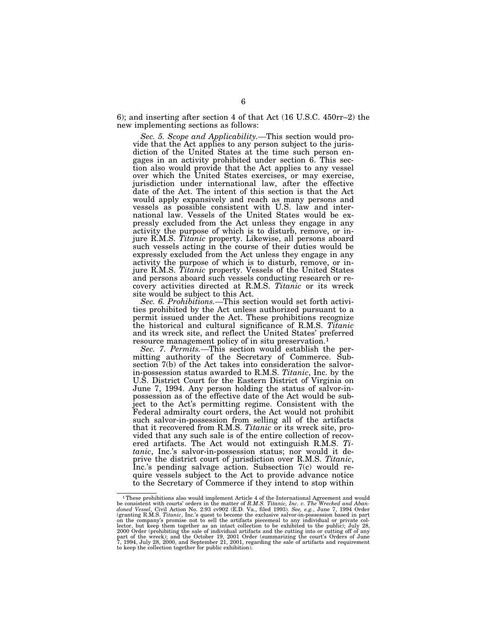6); and inserting after section 4 of that Act (16 U.S.C. 450rr–2) the new implementing sections as follows:

*Sec. 5. Scope and Applicability.—*This section would provide that the Act applies to any person subject to the jurisdiction of the United States at the time such person engages in an activity prohibited under section 6. This section also would provide that the Act applies to any vessel over which the United States exercises, or may exercise, jurisdiction under international law, after the effective date of the Act. The intent of this section is that the Act would apply expansively and reach as many persons and vessels as possible consistent with U.S. law and international law. Vessels of the United States would be expressly excluded from the Act unless they engage in any activity the purpose of which is to disturb, remove, or injure R.M.S. *Titanic* property. Likewise, all persons aboard such vessels acting in the course of their duties would be expressly excluded from the Act unless they engage in any activity the purpose of which is to disturb, remove, or injure R.M.S. *Titanic* property. Vessels of the United States and persons aboard such vessels conducting research or recovery activities directed at R.M.S. *Titanic* or its wreck site would be subject to this Act.

*Sec. 6. Prohibitions.—*This section would set forth activities prohibited by the Act unless authorized pursuant to a permit issued under the Act. These prohibitions recognize the historical and cultural significance of R.M.S. *Titanic*  and its wreck site, and reflect the United States' preferred resource management policy of in situ preservation.1

*Sec. 7. Permits.—*This section would establish the permitting authority of the Secretary of Commerce. Subsection 7(b) of the Act takes into consideration the salvorin-possession status awarded to R.M.S. *Titanic*, Inc. by the U.S. District Court for the Eastern District of Virginia on June 7, 1994. Any person holding the status of salvor-inpossession as of the effective date of the Act would be subject to the Act's permitting regime. Consistent with the Federal admiralty court orders, the Act would not prohibit such salvor-in-possession from selling all of the artifacts that it recovered from R.M.S. *Titanic* or its wreck site, provided that any such sale is of the entire collection of recovered artifacts. The Act would not extinguish R.M.S. *Titanic*, Inc.'s salvor-in-possession status; nor would it de-<br>prive the district court of jurisdiction over R.M.S. Titanic, Inc.'s pending salvage action. Subsection 7(c) would require vessels subject to the Act to provide advance notice to the Secretary of Commerce if they intend to stop within

<sup>&</sup>lt;sup>1</sup> These prohibitions also would implement Article 4 of the International Agreement and would<br>be consistent with courts' orders in the matter of R.M.S. Titanic, Inc. v. The Wrecked and Aban-<br>doned Vessel, Civil Action No on the company's promise not to sell the artifacts piecemeal to any individual or private col-lector, but keep them together as an intact collection to be exhibited to the public); July 28, 2000 Order (prohibiting the sale of individual artifacts and the cutting into or cutting off of any<br>part of the wreck); and the October 19, 2001 Order (summarizing the court's Orders of June<br>7, 1994, July 28, 2000, and Sep to keep the collection together for public exhibition).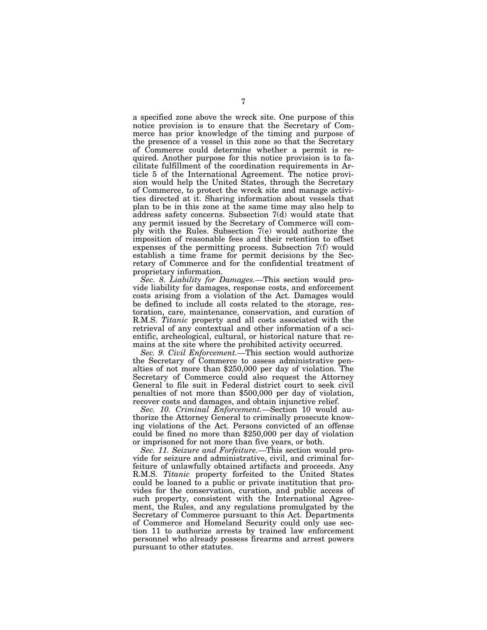a specified zone above the wreck site. One purpose of this notice provision is to ensure that the Secretary of Commerce has prior knowledge of the timing and purpose of the presence of a vessel in this zone so that the Secretary of Commerce could determine whether a permit is required. Another purpose for this notice provision is to facilitate fulfillment of the coordination requirements in Article 5 of the International Agreement. The notice provision would help the United States, through the Secretary of Commerce, to protect the wreck site and manage activities directed at it. Sharing information about vessels that plan to be in this zone at the same time may also help to address safety concerns. Subsection 7(d) would state that any permit issued by the Secretary of Commerce will comply with the Rules. Subsection  $7(e)$  would authorize the imposition of reasonable fees and their retention to offset expenses of the permitting process. Subsection 7(f) would establish a time frame for permit decisions by the Secretary of Commerce and for the confidential treatment of proprietary information.

*Sec. 8. Liability for Damages.—*This section would provide liability for damages, response costs, and enforcement costs arising from a violation of the Act. Damages would be defined to include all costs related to the storage, restoration, care, maintenance, conservation, and curation of R.M.S. *Titanic* property and all costs associated with the retrieval of any contextual and other information of a scientific, archeological, cultural, or historical nature that remains at the site where the prohibited activity occurred.

*Sec. 9. Civil Enforcement.—*This section would authorize the Secretary of Commerce to assess administrative penalties of not more than \$250,000 per day of violation. The Secretary of Commerce could also request the Attorney General to file suit in Federal district court to seek civil penalties of not more than \$500,000 per day of violation, recover costs and damages, and obtain injunctive relief.

*Sec. 10. Criminal Enforcement.—*Section 10 would authorize the Attorney General to criminally prosecute knowing violations of the Act. Persons convicted of an offense could be fined no more than \$250,000 per day of violation or imprisoned for not more than five years, or both.

*Sec. 11. Seizure and Forfeiture.—*This section would provide for seizure and administrative, civil, and criminal forfeiture of unlawfully obtained artifacts and proceeds. Any R.M.S. *Titanic* property forfeited to the United States could be loaned to a public or private institution that provides for the conservation, curation, and public access of such property, consistent with the International Agreement, the Rules, and any regulations promulgated by the Secretary of Commerce pursuant to this Act. Departments of Commerce and Homeland Security could only use section 11 to authorize arrests by trained law enforcement personnel who already possess firearms and arrest powers pursuant to other statutes.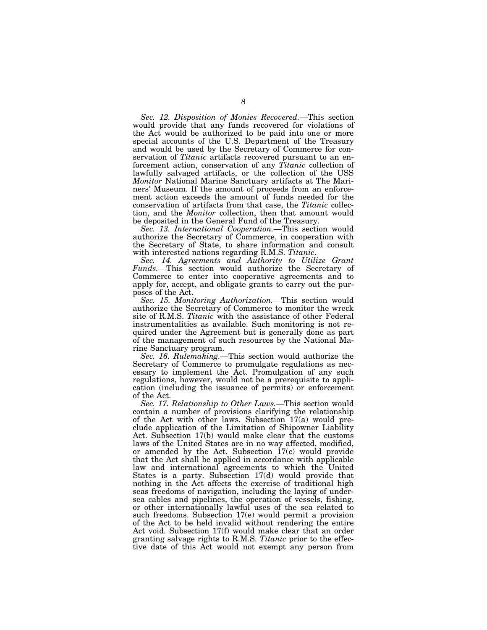*Sec. 12. Disposition of Monies Recovered.—*This section would provide that any funds recovered for violations of the Act would be authorized to be paid into one or more special accounts of the U.S. Department of the Treasury and would be used by the Secretary of Commerce for conservation of *Titanic* artifacts recovered pursuant to an enforcement action, conservation of any *Titanic* collection of lawfully salvaged artifacts, or the collection of the USS *Monitor* National Marine Sanctuary artifacts at The Mariners' Museum. If the amount of proceeds from an enforcement action exceeds the amount of funds needed for the conservation of artifacts from that case, the *Titanic* collection, and the *Monitor* collection, then that amount would be deposited in the General Fund of the Treasury.

*Sec. 13. International Cooperation.—*This section would authorize the Secretary of Commerce, in cooperation with the Secretary of State, to share information and consult with interested nations regarding R.M.S. Titanic.

Sec. 14. Agreements and Authority to Utilize Grant *Funds.—*This section would authorize the Secretary of Commerce to enter into cooperative agreements and to apply for, accept, and obligate grants to carry out the purposes of the Act.

*Sec. 15. Monitoring Authorization.—*This section would authorize the Secretary of Commerce to monitor the wreck site of R.M.S. *Titanic* with the assistance of other Federal instrumentalities as available. Such monitoring is not required under the Agreement but is generally done as part of the management of such resources by the National Marine Sanctuary program.

*Sec. 16. Rulemaking.—*This section would authorize the Secretary of Commerce to promulgate regulations as necessary to implement the Act. Promulgation of any such regulations, however, would not be a prerequisite to application (including the issuance of permits) or enforcement of the Act.

*Sec. 17. Relationship to Other Laws.—*This section would contain a number of provisions clarifying the relationship of the Act with other laws. Subsection 17(a) would preclude application of the Limitation of Shipowner Liability Act. Subsection 17(b) would make clear that the customs laws of the United States are in no way affected, modified, or amended by the Act. Subsection  $17(c)$  would provide that the Act shall be applied in accordance with applicable law and international agreements to which the United States is a party. Subsection 17(d) would provide that nothing in the Act affects the exercise of traditional high seas freedoms of navigation, including the laying of undersea cables and pipelines, the operation of vessels, fishing, or other internationally lawful uses of the sea related to such freedoms. Subsection 17(e) would permit a provision of the Act to be held invalid without rendering the entire Act void. Subsection 17(f) would make clear that an order granting salvage rights to R.M.S. *Titanic* prior to the effective date of this Act would not exempt any person from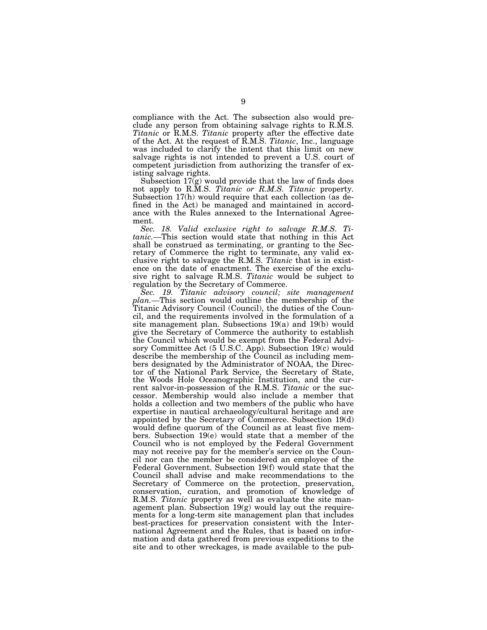compliance with the Act. The subsection also would preclude any person from obtaining salvage rights to R.M.S. *Titanic* or R.M.S. *Titanic* property after the effective date of the Act. At the request of R.M.S. *Titanic*, Inc., language was included to clarify the intent that this limit on new salvage rights is not intended to prevent a U.S. court of competent jurisdiction from authorizing the transfer of existing salvage rights.

Subsection 17(g) would provide that the law of finds does not apply to R.M.S. *Titanic or R.M.S. Titanic* property. Subsection 17(h) would require that each collection (as defined in the Act) be managed and maintained in accordance with the Rules annexed to the International Agreement.

*Sec. 18. Valid exclusive right to salvage R.M.S. Titanic.—*This section would state that nothing in this Act shall be construed as terminating, or granting to the Secretary of Commerce the right to terminate, any valid exclusive right to salvage the R.M.S. *Titanic* that is in existence on the date of enactment. The exercise of the exclusive right to salvage R.M.S. *Titanic* would be subject to regulation by the Secretary of Commerce.

*Sec. 19. Titanic advisory council; site management plan.—*This section would outline the membership of the Titanic Advisory Council (Council), the duties of the Council, and the requirements involved in the formulation of a site management plan. Subsections 19(a) and 19(b) would give the Secretary of Commerce the authority to establish the Council which would be exempt from the Federal Advisory Committee Act (5 U.S.C. App). Subsection 19(c) would describe the membership of the Council as including members designated by the Administrator of NOAA, the Director of the National Park Service, the Secretary of State, the Woods Hole Oceanographic Institution, and the current salvor-in-possession of the R.M.S. *Titanic* or the successor. Membership would also include a member that holds a collection and two members of the public who have expertise in nautical archaeology/cultural heritage and are appointed by the Secretary of Commerce. Subsection 19(d) would define quorum of the Council as at least five members. Subsection 19(e) would state that a member of the Council who is not employed by the Federal Government may not receive pay for the member's service on the Council nor can the member be considered an employee of the Federal Government. Subsection 19(f) would state that the Council shall advise and make recommendations to the Secretary of Commerce on the protection, preservation, conservation, curation, and promotion of knowledge of R.M.S. *Titanic* property as well as evaluate the site management plan. Subsection 19(g) would lay out the requirements for a long-term site management plan that includes best-practices for preservation consistent with the International Agreement and the Rules, that is based on information and data gathered from previous expeditions to the site and to other wreckages, is made available to the pub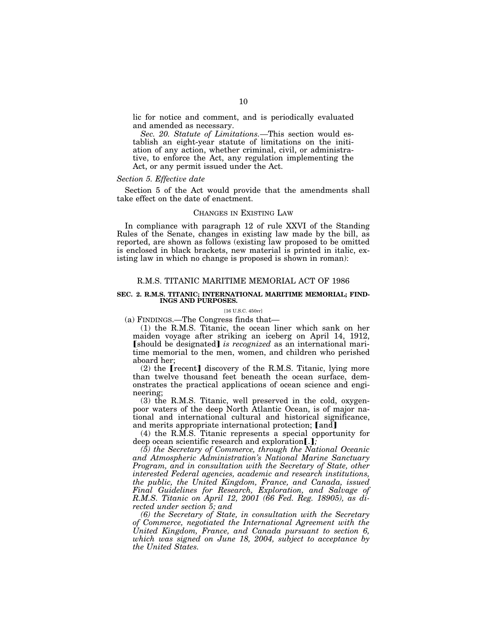lic for notice and comment, and is periodically evaluated and amended as necessary.

*Sec. 20. Statute of Limitations.—*This section would establish an eight-year statute of limitations on the initiation of any action, whether criminal, civil, or administrative, to enforce the Act, any regulation implementing the Act, or any permit issued under the Act.

# *Section 5. Effective date*

Section 5 of the Act would provide that the amendments shall take effect on the date of enactment.

### CHANGES IN EXISTING LAW

In compliance with paragraph 12 of rule XXVI of the Standing Rules of the Senate, changes in existing law made by the bill, as reported, are shown as follows (existing law proposed to be omitted is enclosed in black brackets, new material is printed in italic, existing law in which no change is proposed is shown in roman):

# R.M.S. TITANIC MARITIME MEMORIAL ACT OF 1986

### **SEC. 2. R.M.S. TITANIC; INTERNATIONAL MARITIME MEMORIAL; FIND-INGS AND PURPOSES.**

#### [16 U.S.C. 450rr]

(a) FINDINGS.—The Congress finds that—

(1) the R.M.S. Titanic, the ocean liner which sank on her maiden voyage after striking an iceberg on April 14, 1912, **[should be designated]** *is recognized* as an international maritime memorial to the men, women, and children who perished aboard her;

 $(2)$  the [recent] discovery of the R.M.S. Titanic, lying more than twelve thousand feet beneath the ocean surface, demonstrates the practical applications of ocean science and engineering;

(3) the R.M.S. Titanic, well preserved in the cold, oxygenpoor waters of the deep North Atlantic Ocean, is of major national and international cultural and historical significance, and merits appropriate international protection; [and]

(4) the R.M.S. Titanic represents a special opportunity for deep ocean scientific research and exploration[.*]*;

*(5) the Secretary of Commerce, through the National Oceanic and Atmospheric Administration's National Marine Sanctuary Program, and in consultation with the Secretary of State, other interested Federal agencies, academic and research institutions, the public, the United Kingdom, France, and Canada, issued Final Guidelines for Research, Exploration, and Salvage of R.M.S. Titanic on April 12, 2001 (66 Fed. Reg. 18905), as directed under section 5; and* 

*(6) the Secretary of State, in consultation with the Secretary of Commerce, negotiated the International Agreement with the United Kingdom, France, and Canada pursuant to section 6, which was signed on June 18, 2004, subject to acceptance by the United States.*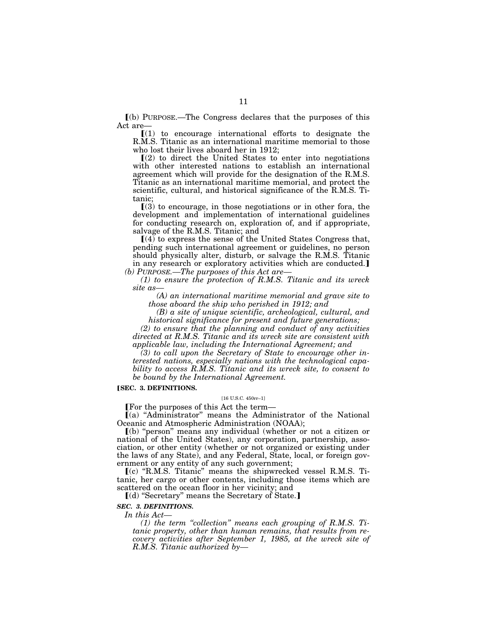ø(b) PURPOSE.—The Congress declares that the purposes of this Act are—

 $(1)$  to encourage international efforts to designate the R.M.S. Titanic as an international maritime memorial to those who lost their lives aboard her in 1912;

 $(2)$  to direct the United States to enter into negotiations with other interested nations to establish an international agreement which will provide for the designation of the R.M.S. Titanic as an international maritime memorial, and protect the scientific, cultural, and historical significance of the R.M.S. Titanic;

 $(3)$  to encourage, in those negotiations or in other fora, the development and implementation of international guidelines for conducting research on, exploration of, and if appropriate, salvage of the R.M.S. Titanic; and

 $(4)$  to express the sense of the United States Congress that, pending such international agreement or guidelines, no person should physically alter, disturb, or salvage the R.M.S. Titanic in any research or exploratory activities which are conducted. *(b) PURPOSE.—The purposes of this Act are—* 

*(1) to ensure the protection of R.M.S. Titanic and its wreck site as—* 

*(A) an international maritime memorial and grave site to those aboard the ship who perished in 1912; and* 

*(B) a site of unique scientific, archeological, cultural, and historical significance for present and future generations;* 

*(2) to ensure that the planning and conduct of any activities directed at R.M.S. Titanic and its wreck site are consistent with applicable law, including the International Agreement; and* 

*(3) to call upon the Secretary of State to encourage other interested nations, especially nations with the technological capability to access R.M.S. Titanic and its wreck site, to consent to be bound by the International Agreement.* 

# **[SEC. 3. DEFINITIONS.**

# [16 U.S.C. 450rr–1]

øFor the purposes of this Act the term—

ø(a) ''Administrator'' means the Administrator of the National Oceanic and Atmospheric Administration (NOAA);

ø(b) ''person'' means any individual (whether or not a citizen or national of the United States), any corporation, partnership, association, or other entity (whether or not organized or existing under the laws of any State), and any Federal, State, local, or foreign government or any entity of any such government;

ø(c) ''R.M.S. Titanic'' means the shipwrecked vessel R.M.S. Titanic, her cargo or other contents, including those items which are scattered on the ocean floor in her vicinity; and

 $[(d)$  "Secretary" means the Secretary of State.]

## *SEC. 3. DEFINITIONS.*

*In this Act—* 

*(1) the term ''collection'' means each grouping of R.M.S. Titanic property, other than human remains, that results from recovery activities after September 1, 1985, at the wreck site of R.M.S. Titanic authorized by—*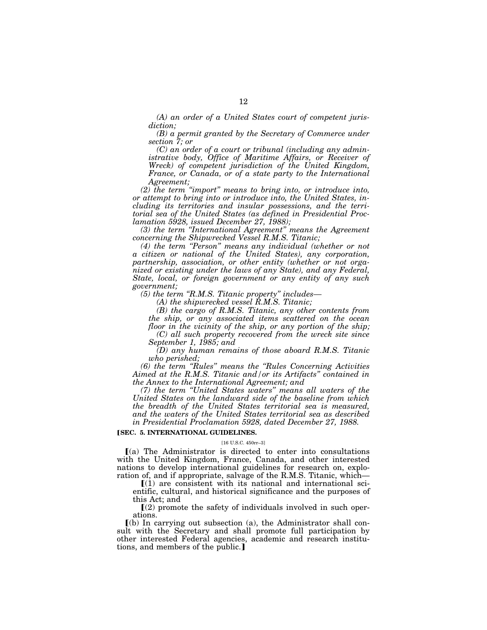*(A) an order of a United States court of competent jurisdiction;* 

*(B) a permit granted by the Secretary of Commerce under section 7; or* 

*(C) an order of a court or tribunal (including any administrative body, Office of Maritime Affairs, or Receiver of Wreck) of competent jurisdiction of the United Kingdom, France, or Canada, or of a state party to the International Agreement;* 

*(2) the term ''import'' means to bring into, or introduce into, or attempt to bring into or introduce into, the United States, including its territories and insular possessions, and the territorial sea of the United States (as defined in Presidential Proclamation 5928, issued December 27, 1988);* 

*(3) the term ''International Agreement'' means the Agreement concerning the Shipwrecked Vessel R.M.S. Titanic;* 

*(4) the term ''Person'' means any individual (whether or not a citizen or national of the United States), any corporation, partnership, association, or other entity (whether or not organized or existing under the laws of any State), and any Federal, State, local, or foreign government or any entity of any such government;* 

*(5) the term ''R.M.S. Titanic property'' includes—* 

*(A) the shipwrecked vessel R.M.S. Titanic;* 

*(B) the cargo of R.M.S. Titanic, any other contents from the ship, or any associated items scattered on the ocean floor in the vicinity of the ship, or any portion of the ship; (C) all such property recovered from the wreck site since* 

*September 1, 1985; and* 

*(D) any human remains of those aboard R.M.S. Titanic who perished;* 

*(6) the term ''Rules'' means the ''Rules Concerning Activities Aimed at the R.M.S. Titanic and/or its Artifacts'' contained in the Annex to the International Agreement; and* 

*(7) the term ''United States waters'' means all waters of the United States on the landward side of the baseline from which the breadth of the United States territorial sea is measured, and the waters of the United States territorial sea as described in Presidential Proclamation 5928, dated December 27, 1988.* 

# **[SEC. 5. INTERNATIONAL GUIDELINES.**

### [16 U.S.C. 450rr–3]

 $(a)$  The Administrator is directed to enter into consultations with the United Kingdom, France, Canada, and other interested nations to develop international guidelines for research on, exploration of, and if appropriate, salvage of the R.M.S. Titanic, which—

 $(1)$  are consistent with its national and international scientific, cultural, and historical significance and the purposes of this Act; and

 $(2)$  promote the safety of individuals involved in such operations.

 $\lceil$ (b) In carrying out subsection (a), the Administrator shall consult with the Secretary and shall promote full participation by other interested Federal agencies, academic and research institutions, and members of the public.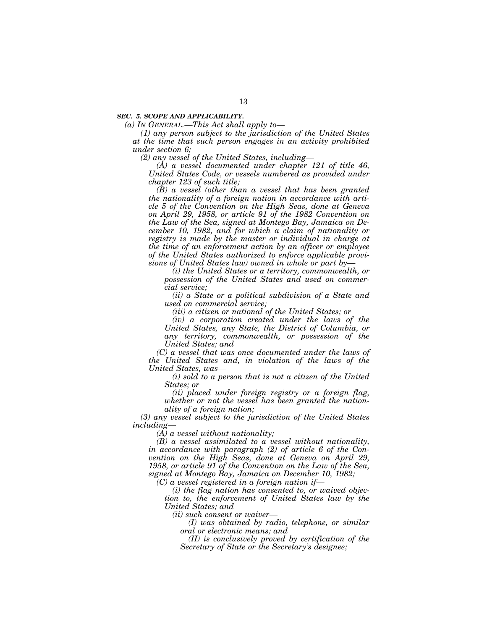### *SEC. 5. SCOPE AND APPLICABILITY.*

*(a) IN GENERAL.—This Act shall apply to—* 

*(1) any person subject to the jurisdiction of the United States at the time that such person engages in an activity prohibited under section 6;* 

*(2) any vessel of the United States, including—* 

*(A) a vessel documented under chapter 121 of title 46, United States Code, or vessels numbered as provided under chapter 123 of such title;* 

*(B) a vessel (other than a vessel that has been granted the nationality of a foreign nation in accordance with article 5 of the Convention on the High Seas, done at Geneva on April 29, 1958, or article 91 of the 1982 Convention on the Law of the Sea, signed at Montego Bay, Jamaica on December 10, 1982, and for which a claim of nationality or registry is made by the master or individual in charge at the time of an enforcement action by an officer or employee of the United States authorized to enforce applicable provisions of United States law) owned in whole or part by—* 

*(i) the United States or a territory, commonwealth, or possession of the United States and used on commercial service;* 

*(ii) a State or a political subdivision of a State and used on commercial service;* 

*(iii) a citizen or national of the United States; or* 

*(iv) a corporation created under the laws of the United States, any State, the District of Columbia, or any territory, commonwealth, or possession of the United States; and* 

*(C) a vessel that was once documented under the laws of the United States and, in violation of the laws of the United States, was—* 

*(i) sold to a person that is not a citizen of the United States; or* 

*(ii) placed under foreign registry or a foreign flag, whether or not the vessel has been granted the nationality of a foreign nation;* 

*(3) any vessel subject to the jurisdiction of the United States including—* 

*(A) a vessel without nationality;* 

*(B) a vessel assimilated to a vessel without nationality, in accordance with paragraph (2) of article 6 of the Convention on the High Seas, done at Geneva on April 29, 1958, or article 91 of the Convention on the Law of the Sea, signed at Montego Bay, Jamaica on December 10, 1982;* 

*(C) a vessel registered in a foreign nation if—* 

*(i) the flag nation has consented to, or waived objection to, the enforcement of United States law by the United States; and* 

*(ii) such consent or waiver—* 

*(I) was obtained by radio, telephone, or similar oral or electronic means; and* 

*(II) is conclusively proved by certification of the Secretary of State or the Secretary's designee;*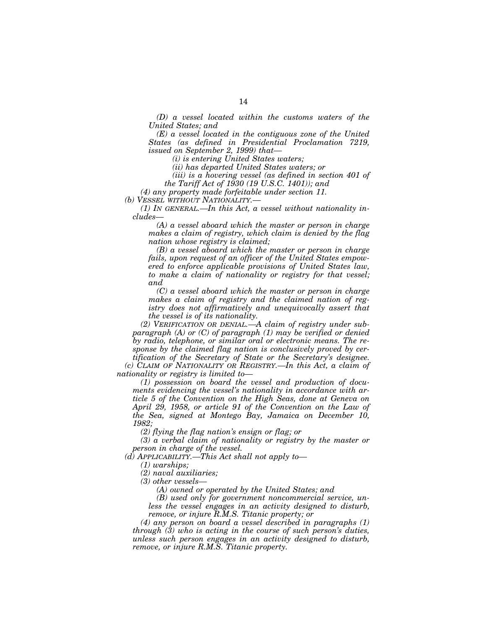*(D) a vessel located within the customs waters of the United States; and* 

*(E) a vessel located in the contiguous zone of the United States (as defined in Presidential Proclamation 7219, issued on September 2, 1999) that—* 

*(i) is entering United States waters;* 

*(ii) has departed United States waters; or* 

*(iii) is a hovering vessel (as defined in section 401 of the Tariff Act of 1930 (19 U.S.C. 1401)); and* 

*(4) any property made forfeitable under section 11.* 

*(b) VESSEL WITHOUT NATIONALITY.—* 

*(1) IN GENERAL.—In this Act, a vessel without nationality includes—* 

*(A) a vessel aboard which the master or person in charge makes a claim of registry, which claim is denied by the flag nation whose registry is claimed;* 

*(B) a vessel aboard which the master or person in charge fails, upon request of an officer of the United States empowered to enforce applicable provisions of United States law, to make a claim of nationality or registry for that vessel; and* 

*(C) a vessel aboard which the master or person in charge makes a claim of registry and the claimed nation of registry does not affirmatively and unequivocally assert that the vessel is of its nationality.* 

*(2) VERIFICATION OR DENIAL.—A claim of registry under subparagraph (A) or (C) of paragraph (1) may be verified or denied by radio, telephone, or similar oral or electronic means. The response by the claimed flag nation is conclusively proved by certification of the Secretary of State or the Secretary's designee.* 

*(c) CLAIM OF NATIONALITY OR REGISTRY.—In this Act, a claim of nationality or registry is limited to—* 

*(1) possession on board the vessel and production of documents evidencing the vessel's nationality in accordance with article 5 of the Convention on the High Seas, done at Geneva on April 29, 1958, or article 91 of the Convention on the Law of the Sea, signed at Montego Bay, Jamaica on December 10, 1982;* 

*(2) flying the flag nation's ensign or flag; or* 

*(3) a verbal claim of nationality or registry by the master or person in charge of the vessel.* 

*(d) APPLICABILITY.—This Act shall not apply to—* 

*(1) warships;* 

*(2) naval auxiliaries;* 

*(3) other vessels—* 

*(A) owned or operated by the United States; and* 

*(B) used only for government noncommercial service, unless the vessel engages in an activity designed to disturb, remove, or injure R.M.S. Titanic property; or* 

*(4) any person on board a vessel described in paragraphs (1) through (3) who is acting in the course of such person's duties, unless such person engages in an activity designed to disturb, remove, or injure R.M.S. Titanic property.*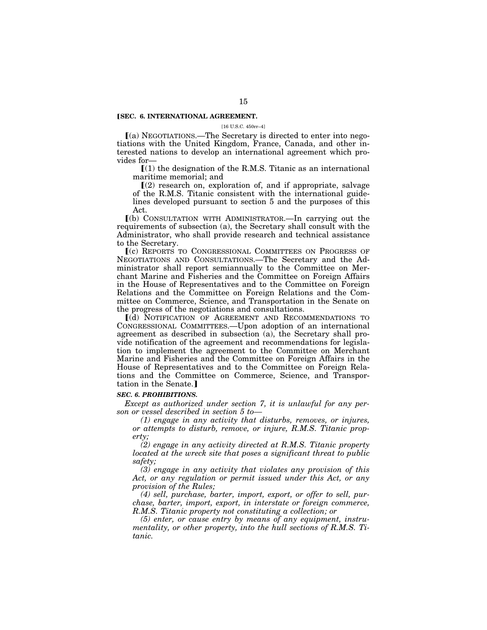# **[SEC. 6. INTERNATIONAL AGREEMENT.**

[16 U.S.C. 450rr–4]

ø(a) NEGOTIATIONS.—The Secretary is directed to enter into negotiations with the United Kingdom, France, Canada, and other interested nations to develop an international agreement which provides for—

 $(1)$  the designation of the R.M.S. Titanic as an international maritime memorial; and

 $(2)$  research on, exploration of, and if appropriate, salvage of the R.M.S. Titanic consistent with the international guidelines developed pursuant to section 5 and the purposes of this Act.

ø(b) CONSULTATION WITH ADMINISTRATOR.—In carrying out the requirements of subsection (a), the Secretary shall consult with the Administrator, who shall provide research and technical assistance to the Secretary.

ø(c) REPORTS TO CONGRESSIONAL COMMITTEES ON PROGRESS OF NEGOTIATIONS AND CONSULTATIONS.—The Secretary and the Administrator shall report semiannually to the Committee on Merchant Marine and Fisheries and the Committee on Foreign Affairs in the House of Representatives and to the Committee on Foreign Relations and the Committee on Foreign Relations and the Committee on Commerce, Science, and Transportation in the Senate on the progress of the negotiations and consultations.

ø(d) NOTIFICATION OF AGREEMENT AND RECOMMENDATIONS TO CONGRESSIONAL COMMITTEES.—Upon adoption of an international agreement as described in subsection (a), the Secretary shall provide notification of the agreement and recommendations for legislation to implement the agreement to the Committee on Merchant Marine and Fisheries and the Committee on Foreign Affairs in the House of Representatives and to the Committee on Foreign Relations and the Committee on Commerce, Science, and Transportation in the Senate.]

#### *SEC. 6. PROHIBITIONS.*

*Except as authorized under section 7, it is unlawful for any person or vessel described in section 5 to—* 

*(1) engage in any activity that disturbs, removes, or injures, or attempts to disturb, remove, or injure, R.M.S. Titanic property;* 

*(2) engage in any activity directed at R.M.S. Titanic property located at the wreck site that poses a significant threat to public safety;* 

*(3) engage in any activity that violates any provision of this Act, or any regulation or permit issued under this Act, or any provision of the Rules;* 

*(4) sell, purchase, barter, import, export, or offer to sell, purchase, barter, import, export, in interstate or foreign commerce, R.M.S. Titanic property not constituting a collection; or* 

*(5) enter, or cause entry by means of any equipment, instrumentality, or other property, into the hull sections of R.M.S. Titanic.*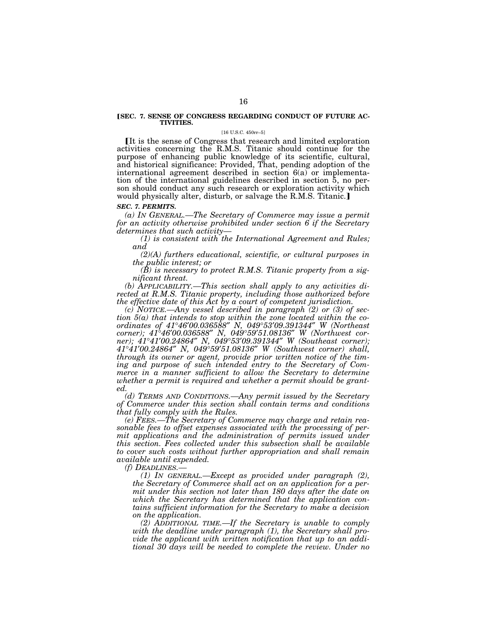## **[SEC. 7. SENSE OF CONGRESS REGARDING CONDUCT OF FUTURE AC-TIVITIES.**

#### [16 U.S.C. 450rr–5]

It is the sense of Congress that research and limited exploration activities concerning the R.M.S. Titanic should continue for the purpose of enhancing public knowledge of its scientific, cultural, and historical significance: Provided, That, pending adoption of the international agreement described in section 6(a) or implementation of the international guidelines described in section 5, no person should conduct any such research or exploration activity which would physically alter, disturb, or salvage the R.M.S. Titanic.

#### *SEC. 7. PERMITS.*

*(a) IN GENERAL.—The Secretary of Commerce may issue a permit for an activity otherwise prohibited under section 6 if the Secretary determines that such activity—* 

*(1) is consistent with the International Agreement and Rules; and* 

*(2)(A) furthers educational, scientific, or cultural purposes in the public interest; or* 

*(B) is necessary to protect R.M.S. Titanic property from a significant threat.* 

*(b) APPLICABILITY.—This section shall apply to any activities directed at R.M.S. Titanic property, including those authorized before the effective date of this Act by a court of competent jurisdiction.* 

*(c) NOTICE.—Any vessel described in paragraph (2) or (3) of section 5(a) that intends to stop within the zone located within the coordinates of 41*°*46*′*00.036588*″ *N, 049*°*53*′*09.391344*″ *W (Northeast corner); 41*°*46*′*00.036588*″ *N, 049*°*59*′*51.08136*″ *W (Northwest corner); 41*°*41*′*00.24864*″ *N, 049*°*53*′*09.391344*″ *W (Southeast corner); 41*°*41*′*00.24864*″ *N, 049*°*59*′*51.08136*″ *W (Southwest corner) shall, through its owner or agent, provide prior written notice of the timing and purpose of such intended entry to the Secretary of Commerce in a manner sufficient to allow the Secretary to determine whether a permit is required and whether a permit should be granted.* 

*(d) TERMS AND CONDITIONS.—Any permit issued by the Secretary of Commerce under this section shall contain terms and conditions that fully comply with the Rules.* 

*(e) FEES.—The Secretary of Commerce may charge and retain reasonable fees to offset expenses associated with the processing of permit applications and the administration of permits issued under this section. Fees collected under this subsection shall be available to cover such costs without further appropriation and shall remain available until expended.* 

*(f) DEADLINES.—* 

*(1) IN GENERAL.—Except as provided under paragraph (2), the Secretary of Commerce shall act on an application for a permit under this section not later than 180 days after the date on which the Secretary has determined that the application contains sufficient information for the Secretary to make a decision on the application.* 

*(2) ADDITIONAL TIME.—If the Secretary is unable to comply with the deadline under paragraph (1), the Secretary shall provide the applicant with written notification that up to an additional 30 days will be needed to complete the review. Under no*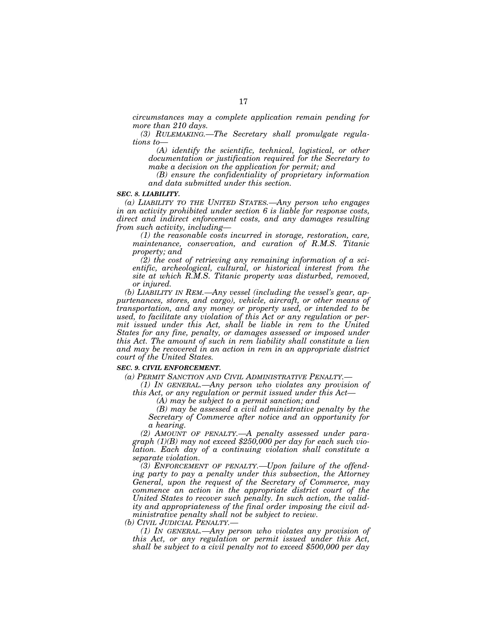*circumstances may a complete application remain pending for more than 210 days.* 

*(3) RULEMAKING.—The Secretary shall promulgate regulations to—* 

*(A) identify the scientific, technical, logistical, or other documentation or justification required for the Secretary to make a decision on the application for permit; and* 

*(B) ensure the confidentiality of proprietary information and data submitted under this section.* 

### *SEC. 8. LIABILITY.*

*(a) LIABILITY TO THE UNITED STATES.—Any person who engages in an activity prohibited under section 6 is liable for response costs, direct and indirect enforcement costs, and any damages resulting from such activity, including—* 

*(1) the reasonable costs incurred in storage, restoration, care, maintenance, conservation, and curation of R.M.S. Titanic property; and* 

*(2) the cost of retrieving any remaining information of a scientific, archeological, cultural, or historical interest from the site at which R.M.S. Titanic property was disturbed, removed, or injured.* 

*(b) LIABILITY IN REM.—Any vessel (including the vessel's gear, appurtenances, stores, and cargo), vehicle, aircraft, or other means of transportation, and any money or property used, or intended to be used, to facilitate any violation of this Act or any regulation or permit issued under this Act, shall be liable in rem to the United States for any fine, penalty, or damages assessed or imposed under this Act. The amount of such in rem liability shall constitute a lien and may be recovered in an action in rem in an appropriate district court of the United States.* 

# *SEC. 9. CIVIL ENFORCEMENT.*

*(a) PERMIT SANCTION AND CIVIL ADMINISTRATIVE PENALTY.—* 

*(1) IN GENERAL.—Any person who violates any provision of this Act, or any regulation or permit issued under this Act—* 

*(A) may be subject to a permit sanction; and* 

*(B) may be assessed a civil administrative penalty by the Secretary of Commerce after notice and an opportunity for a hearing.* 

*(2) AMOUNT OF PENALTY.—A penalty assessed under paragraph (1)(B) may not exceed \$250,000 per day for each such violation. Each day of a continuing violation shall constitute a separate violation.* 

*(3) ENFORCEMENT OF PENALTY.—Upon failure of the offending party to pay a penalty under this subsection, the Attorney General, upon the request of the Secretary of Commerce, may commence an action in the appropriate district court of the United States to recover such penalty. In such action, the validity and appropriateness of the final order imposing the civil administrative penalty shall not be subject to review.* 

*(b) CIVIL JUDICIAL PENALTY.—* 

*(1) IN GENERAL.—Any person who violates any provision of this Act, or any regulation or permit issued under this Act, shall be subject to a civil penalty not to exceed \$500,000 per day*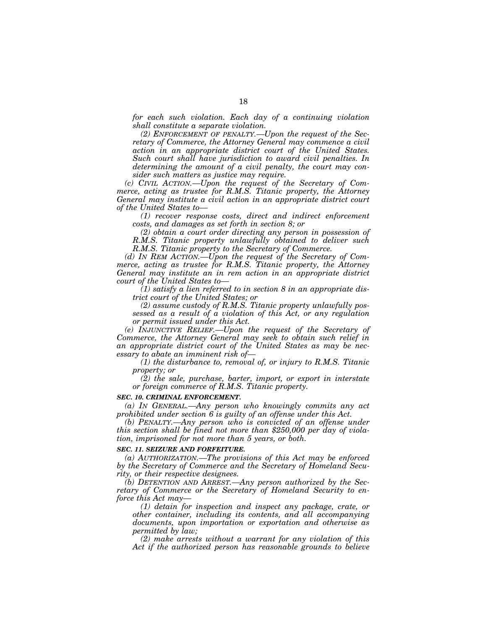*for each such violation. Each day of a continuing violation shall constitute a separate violation.* 

*(2) ENFORCEMENT OF PENALTY.—Upon the request of the Secretary of Commerce, the Attorney General may commence a civil action in an appropriate district court of the United States. Such court shall have jurisdiction to award civil penalties. In determining the amount of a civil penalty, the court may consider such matters as justice may require.* 

*(c) CIVIL ACTION.—Upon the request of the Secretary of Commerce, acting as trustee for R.M.S. Titanic property, the Attorney General may institute a civil action in an appropriate district court of the United States to—* 

*(1) recover response costs, direct and indirect enforcement costs, and damages as set forth in section 8; or* 

*(2) obtain a court order directing any person in possession of R.M.S. Titanic property unlawfully obtained to deliver such R.M.S. Titanic property to the Secretary of Commerce.* 

*(d) IN REM ACTION.—Upon the request of the Secretary of Commerce, acting as trustee for R.M.S. Titanic property, the Attorney General may institute an in rem action in an appropriate district court of the United States to—* 

*(1) satisfy a lien referred to in section 8 in an appropriate district court of the United States; or* 

*(2) assume custody of R.M.S. Titanic property unlawfully possessed as a result of a violation of this Act, or any regulation or permit issued under this Act.* 

*(e) INJUNCTIVE RELIEF.—Upon the request of the Secretary of Commerce, the Attorney General may seek to obtain such relief in an appropriate district court of the United States as may be necessary to abate an imminent risk of—* 

*(1) the disturbance to, removal of, or injury to R.M.S. Titanic property; or* 

*(2) the sale, purchase, barter, import, or export in interstate or foreign commerce of R.M.S. Titanic property.* 

### *SEC. 10. CRIMINAL ENFORCEMENT.*

*(a) IN GENERAL.—Any person who knowingly commits any act prohibited under section 6 is guilty of an offense under this Act.* 

*(b) PENALTY.—Any person who is convicted of an offense under this section shall be fined not more than \$250,000 per day of violation, imprisoned for not more than 5 years, or both.* 

### *SEC. 11. SEIZURE AND FORFEITURE.*

*(a) AUTHORIZATION.—The provisions of this Act may be enforced by the Secretary of Commerce and the Secretary of Homeland Security, or their respective designees.* 

*(b) DETENTION AND ARREST.—Any person authorized by the Secretary of Commerce or the Secretary of Homeland Security to enforce this Act may—* 

*(1) detain for inspection and inspect any package, crate, or other container, including its contents, and all accompanying documents, upon importation or exportation and otherwise as permitted by law;* 

*(2) make arrests without a warrant for any violation of this*  Act if the authorized person has reasonable grounds to believe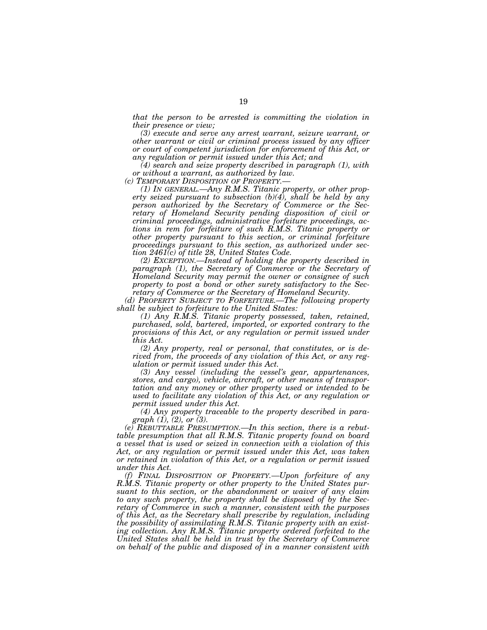*that the person to be arrested is committing the violation in their presence or view;* 

*(3) execute and serve any arrest warrant, seizure warrant, or other warrant or civil or criminal process issued by any officer or court of competent jurisdiction for enforcement of this Act, or any regulation or permit issued under this Act; and* 

*(4) search and seize property described in paragraph (1), with or without a warrant, as authorized by law.* 

*(1) IN GENERAL.*—Any R.M.S. Titanic property, or other prop*erty seized pursuant to subsection (b)(4), shall be held by any person authorized by the Secretary of Commerce or the Secretary of Homeland Security pending disposition of civil or criminal proceedings, administrative forfeiture proceedings, actions in rem for forfeiture of such R.M.S. Titanic property or other property pursuant to this section, or criminal forfeiture proceedings pursuant to this section, as authorized under section 2461(c) of title 28, United States Code.* 

*(2) EXCEPTION.—Instead of holding the property described in*  paragraph (1), the Secretary of Commerce or the Secretary of *Homeland Security may permit the owner or consignee of such property to post a bond or other surety satisfactory to the Secretary of Commerce or the Secretary of Homeland Security.* 

*(d) PROPERTY SUBJECT TO FORFEITURE.—The following property shall be subject to forfeiture to the United States:* 

*(1) Any R.M.S. Titanic property possessed, taken, retained, purchased, sold, bartered, imported, or exported contrary to the*  provisions of this Act, or any regulation or permit issued under *this Act.* 

*(2) Any property, real or personal, that constitutes, or is derived from, the proceeds of any violation of this Act, or any regulation or permit issued under this Act.* 

*(3) Any vessel (including the vessel's gear, appurtenances, stores, and cargo), vehicle, aircraft, or other means of transportation and any money or other property used or intended to be used to facilitate any violation of this Act, or any regulation or permit issued under this Act.* 

*(4) Any property traceable to the property described in paragraph (1), (2), or (3).* 

*(e) REBUTTABLE PRESUMPTION.—In this section, there is a rebut*table presumption that all R.M.S. Titanic property found on board *a vessel that is used or seized in connection with a violation of this Act, or any regulation or permit issued under this Act, was taken or retained in violation of this Act, or a regulation or permit issued under this Act.* 

*(f) FINAL DISPOSITION OF PROPERTY.—Upon forfeiture of any R.M.S. Titanic property or other property to the United States pursuant to this section, or the abandonment or waiver of any claim to any such property, the property shall be disposed of by the Secretary of Commerce in such a manner, consistent with the purposes of this Act, as the Secretary shall prescribe by regulation, including the possibility of assimilating R.M.S. Titanic property with an existing collection. Any R.M.S. Titanic property ordered forfeited to the United States shall be held in trust by the Secretary of Commerce on behalf of the public and disposed of in a manner consistent with*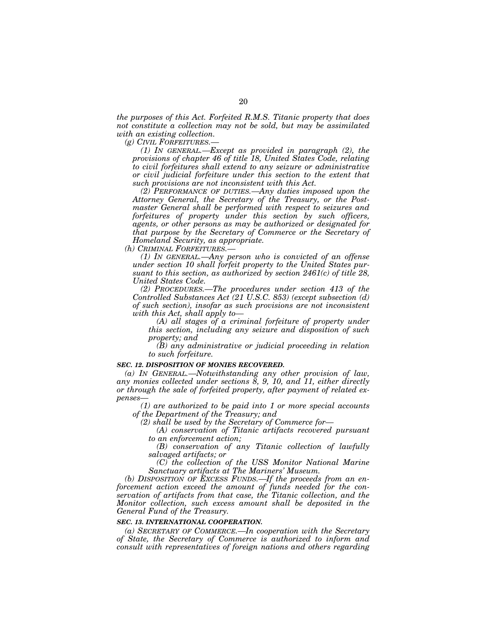*the purposes of this Act. Forfeited R.M.S. Titanic property that does not constitute a collection may not be sold, but may be assimilated with an existing collection.* 

*(g) CIVIL FORFEITURES.—* 

*(1) IN GENERAL.—Except as provided in paragraph (2), the provisions of chapter 46 of title 18, United States Code, relating to civil forfeitures shall extend to any seizure or administrative or civil judicial forfeiture under this section to the extent that such provisions are not inconsistent with this Act.* 

*(2) PERFORMANCE OF DUTIES.—Any duties imposed upon the Attorney General, the Secretary of the Treasury, or the Postmaster General shall be performed with respect to seizures and forfeitures of property under this section by such officers, agents, or other persons as may be authorized or designated for that purpose by the Secretary of Commerce or the Secretary of Homeland Security, as appropriate.* 

*(h) CRIMINAL FORFEITURES.—* 

*(1) IN GENERAL.—Any person who is convicted of an offense under section 10 shall forfeit property to the United States pursuant to this section, as authorized by section 2461(c) of title 28, United States Code.* 

*(2) PROCEDURES.—The procedures under section 413 of the Controlled Substances Act (21 U.S.C. 853) (except subsection (d) of such section), insofar as such provisions are not inconsistent with this Act, shall apply to—* 

*(A) all stages of a criminal forfeiture of property under this section, including any seizure and disposition of such property; and* 

*(B) any administrative or judicial proceeding in relation to such forfeiture.* 

### *SEC. 12. DISPOSITION OF MONIES RECOVERED.*

*(a) IN GENERAL.—Notwithstanding any other provision of law, any monies collected under sections 8, 9, 10, and 11, either directly or through the sale of forfeited property, after payment of related expenses—* 

*(1) are authorized to be paid into 1 or more special accounts of the Department of the Treasury; and* 

*(2) shall be used by the Secretary of Commerce for—* 

*(A) conservation of Titanic artifacts recovered pursuant to an enforcement action;* 

*(B) conservation of any Titanic collection of lawfully salvaged artifacts; or* 

*(C) the collection of the USS Monitor National Marine Sanctuary artifacts at The Mariners' Museum.* 

*(b) DISPOSITION OF EXCESS FUNDS.—If the proceeds from an enforcement action exceed the amount of funds needed for the conservation of artifacts from that case, the Titanic collection, and the Monitor collection, such excess amount shall be deposited in the General Fund of the Treasury.* 

#### *SEC. 13. INTERNATIONAL COOPERATION.*

*(a) SECRETARY OF COMMERCE.—In cooperation with the Secretary of State, the Secretary of Commerce is authorized to inform and consult with representatives of foreign nations and others regarding*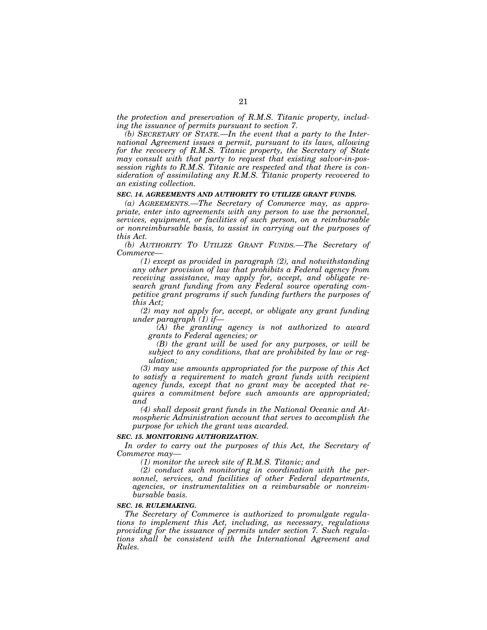*the protection and preservation of R.M.S. Titanic property, including the issuance of permits pursuant to section 7.* 

*(b) SECRETARY OF STATE.—In the event that a party to the International Agreement issues a permit, pursuant to its laws, allowing for the recovery of R.M.S. Titanic property, the Secretary of State may consult with that party to request that existing salvor-in-possession rights to R.M.S. Titanic are respected and that there is consideration of assimilating any R.M.S. Titanic property recovered to an existing collection.* 

### *SEC. 14. AGREEMENTS AND AUTHORITY TO UTILIZE GRANT FUNDS.*

*(a) AGREEMENTS.—The Secretary of Commerce may, as appropriate, enter into agreements with any person to use the personnel, services, equipment, or facilities of such person, on a reimbursable or nonreimbursable basis, to assist in carrying out the purposes of this Act.* 

*(b) AUTHORITY TO UTILIZE GRANT FUNDS.—The Secretary of Commerce—* 

*(1) except as provided in paragraph (2), and notwithstanding any other provision of law that prohibits a Federal agency from receiving assistance, may apply for, accept, and obligate research grant funding from any Federal source operating competitive grant programs if such funding furthers the purposes of this Act;* 

*(2) may not apply for, accept, or obligate any grant funding under paragraph (1) if—* 

*(A) the granting agency is not authorized to award grants to Federal agencies; or* 

*(B) the grant will be used for any purposes, or will be subject to any conditions, that are prohibited by law or regulation;* 

*(3) may use amounts appropriated for the purpose of this Act to satisfy a requirement to match grant funds with recipient agency funds, except that no grant may be accepted that requires a commitment before such amounts are appropriated; and* 

*(4) shall deposit grant funds in the National Oceanic and Atmospheric Administration account that serves to accomplish the purpose for which the grant was awarded.* 

### *SEC. 15. MONITORING AUTHORIZATION.*

In order to carry out the purposes of this Act, the Secretary of *Commerce may—* 

*(1) monitor the wreck site of R.M.S. Titanic; and* 

*(2) conduct such monitoring in coordination with the personnel, services, and facilities of other Federal departments, agencies, or instrumentalities on a reimbursable or nonreimbursable basis.* 

## *SEC. 16. RULEMAKING.*

*The Secretary of Commerce is authorized to promulgate regulations to implement this Act, including, as necessary, regulations providing for the issuance of permits under section 7. Such regulations shall be consistent with the International Agreement and Rules.*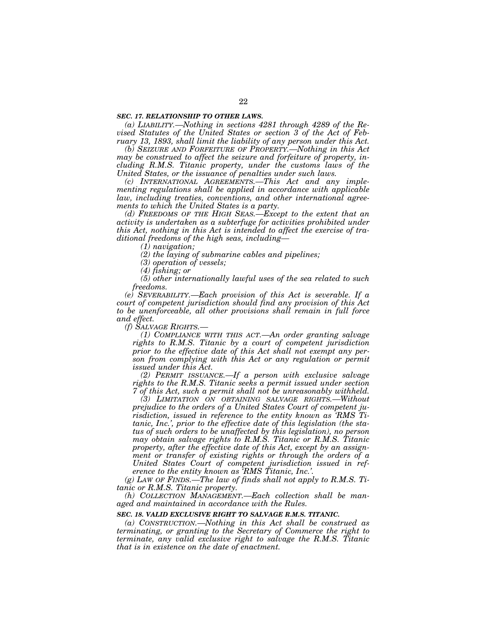### *SEC. 17. RELATIONSHIP TO OTHER LAWS.*

*(a) LIABILITY.—Nothing in sections 4281 through 4289 of the Revised Statutes of the United States or section 3 of the Act of February 13, 1893, shall limit the liability of any person under this Act.* 

*(b) SEIZURE AND FORFEITURE OF PROPERTY.—Nothing in this Act may be construed to affect the seizure and forfeiture of property, including R.M.S. Titanic property, under the customs laws of the United States, or the issuance of penalties under such laws.* 

*(c) INTERNATIONAL AGREEMENTS.—This Act and any implementing regulations shall be applied in accordance with applicable law, including treaties, conventions, and other international agreements to which the United States is a party.* 

*(d) FREEDOMS OF THE HIGH SEAS.—Except to the extent that an activity is undertaken as a subterfuge for activities prohibited under this Act, nothing in this Act is intended to affect the exercise of traditional freedoms of the high seas, including—* 

*(1) navigation;* 

*(2) the laying of submarine cables and pipelines;* 

*(3) operation of vessels;* 

*(4) fishing; or* 

*(5) other internationally lawful uses of the sea related to such freedoms.* 

*(e) SEVERABILITY.—Each provision of this Act is severable. If a court of competent jurisdiction should find any provision of this Act to be unenforceable, all other provisions shall remain in full force and effect.* 

*(f) SALVAGE RIGHTS.—* 

*(1) COMPLIANCE WITH THIS ACT.—An order granting salvage rights to R.M.S. Titanic by a court of competent jurisdiction prior to the effective date of this Act shall not exempt any person from complying with this Act or any regulation or permit issued under this Act.* 

*(2) PERMIT ISSUANCE.—If a person with exclusive salvage rights to the R.M.S. Titanic seeks a permit issued under section 7 of this Act, such a permit shall not be unreasonably withheld.* 

*(3) LIMITATION ON OBTAINING SALVAGE RIGHTS.—Without prejudice to the orders of a United States Court of competent jurisdiction, issued in reference to the entity known as 'RMS Titanic, Inc.', prior to the effective date of this legislation (the status of such orders to be unaffected by this legislation), no person may obtain salvage rights to R.M.S. Titanic or R.M.S. Titanic property, after the effective date of this Act, except by an assignment or transfer of existing rights or through the orders of a United States Court of competent jurisdiction issued in reference to the entity known as 'RMS Titanic, Inc.'.* 

*(g) LAW OF FINDS.—The law of finds shall not apply to R.M.S. Titanic or R.M.S. Titanic property.* 

*(h) COLLECTION MANAGEMENT.—Each collection shall be managed and maintained in accordance with the Rules.* 

#### *SEC. 18. VALID EXCLUSIVE RIGHT TO SALVAGE R.M.S. TITANIC.*

*(a) CONSTRUCTION.—Nothing in this Act shall be construed as terminating, or granting to the Secretary of Commerce the right to terminate, any valid exclusive right to salvage the R.M.S. Titanic that is in existence on the date of enactment.*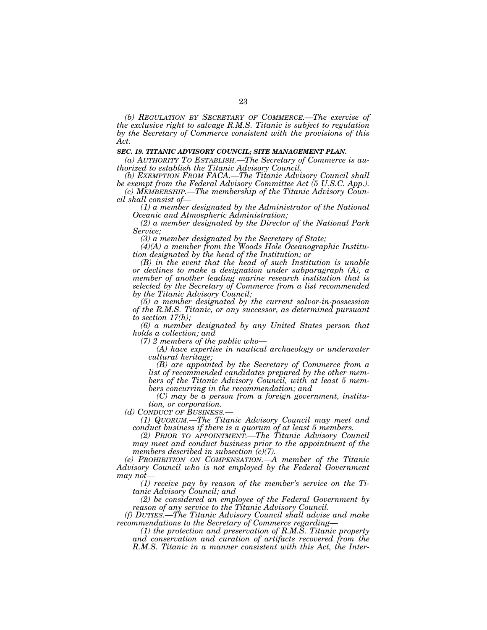*(b) REGULATION BY SECRETARY OF COMMERCE.—The exercise of the exclusive right to salvage R.M.S. Titanic is subject to regulation by the Secretary of Commerce consistent with the provisions of this Act.* 

### *SEC. 19. TITANIC ADVISORY COUNCIL; SITE MANAGEMENT PLAN.*

*(a) AUTHORITY TO ESTABLISH.—The Secretary of Commerce is authorized to establish the Titanic Advisory Council.* 

*(b) EXEMPTION FROM FACA.—The Titanic Advisory Council shall be exempt from the Federal Advisory Committee Act (5 U.S.C. App.).* 

*(c) MEMBERSHIP.—The membership of the Titanic Advisory Council shall consist of—* 

*(1) a member designated by the Administrator of the National Oceanic and Atmospheric Administration;* 

*(2) a member designated by the Director of the National Park Service;* 

*(3) a member designated by the Secretary of State;* 

*(4)(A) a member from the Woods Hole Oceanographic Institution designated by the head of the Institution; or* 

*(B) in the event that the head of such Institution is unable or declines to make a designation under subparagraph (A), a member of another leading marine research institution that is selected by the Secretary of Commerce from a list recommended by the Titanic Advisory Council;* 

*(5) a member designated by the current salvor-in-possession of the R.M.S. Titanic, or any successor, as determined pursuant to section 17(h);* 

*(6) a member designated by any United States person that holds a collection; and* 

*(7) 2 members of the public who—* 

*(A) have expertise in nautical archaeology or underwater cultural heritage;* 

*(B) are appointed by the Secretary of Commerce from a list of recommended candidates prepared by the other members of the Titanic Advisory Council, with at least 5 members concurring in the recommendation; and* 

*(C) may be a person from a foreign government, institu-*

*tion, or corporation.*<br> *(d)* CONDUCT OF BUSINESS.

*(1) QUORUM.—The Titanic Advisory Council may meet and conduct business if there is a quorum of at least 5 members.* 

*(2) PRIOR TO APPOINTMENT.—The Titanic Advisory Council may meet and conduct business prior to the appointment of the members described in subsection (c)(7).* 

*(e) PROHIBITION ON COMPENSATION.—A member of the Titanic Advisory Council who is not employed by the Federal Government may not—* 

*(1) receive pay by reason of the member's service on the Titanic Advisory Council; and* 

*(2) be considered an employee of the Federal Government by reason of any service to the Titanic Advisory Council.* 

*(f) DUTIES.—The Titanic Advisory Council shall advise and make recommendations to the Secretary of Commerce regarding—* 

*(1) the protection and preservation of R.M.S. Titanic property and conservation and curation of artifacts recovered from the R.M.S. Titanic in a manner consistent with this Act, the Inter-*